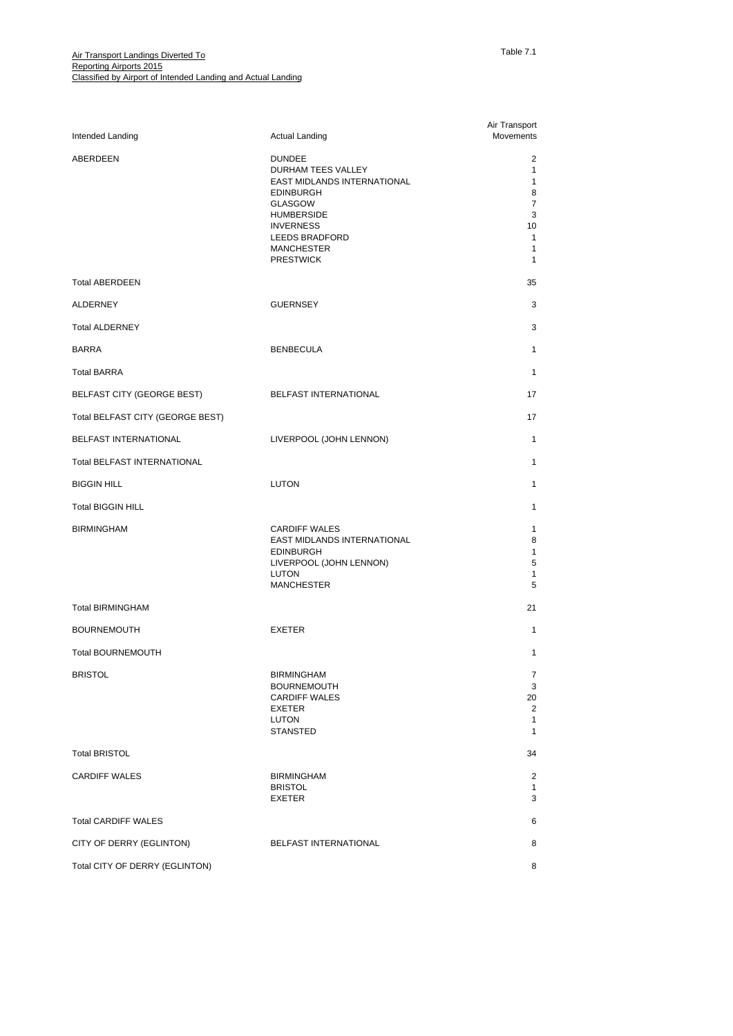| Intended Landing                  | <b>Actual Landing</b>                                                                                                                                                                                               | Air Transport<br>Movements                                                                  |
|-----------------------------------|---------------------------------------------------------------------------------------------------------------------------------------------------------------------------------------------------------------------|---------------------------------------------------------------------------------------------|
| ABERDEEN                          | <b>DUNDEE</b><br>DURHAM TEES VALLEY<br>EAST MIDLANDS INTERNATIONAL<br><b>EDINBURGH</b><br><b>GLASGOW</b><br><b>HUMBERSIDE</b><br><b>INVERNESS</b><br><b>LEEDS BRADFORD</b><br><b>MANCHESTER</b><br><b>PRESTWICK</b> | 2<br>$\mathbf{1}$<br>$\mathbf{1}$<br>8<br>7<br>3<br>10<br>$\mathbf{1}$<br>1<br>$\mathbf{1}$ |
| <b>Total ABERDEEN</b>             |                                                                                                                                                                                                                     | 35                                                                                          |
| ALDERNEY                          | <b>GUERNSEY</b>                                                                                                                                                                                                     | 3                                                                                           |
| <b>Total ALDERNEY</b>             |                                                                                                                                                                                                                     | 3                                                                                           |
| <b>BARRA</b>                      | <b>BENBECULA</b>                                                                                                                                                                                                    | $\mathbf{1}$                                                                                |
| <b>Total BARRA</b>                |                                                                                                                                                                                                                     | $\mathbf{1}$                                                                                |
| <b>BELFAST CITY (GEORGE BEST)</b> | <b>BELFAST INTERNATIONAL</b>                                                                                                                                                                                        | 17                                                                                          |
| Total BELFAST CITY (GEORGE BEST)  |                                                                                                                                                                                                                     | 17                                                                                          |
| BELFAST INTERNATIONAL             | LIVERPOOL (JOHN LENNON)                                                                                                                                                                                             | $\mathbf{1}$                                                                                |
| Total BELFAST INTERNATIONAL       |                                                                                                                                                                                                                     | $\mathbf{1}$                                                                                |
| <b>BIGGIN HILL</b>                | <b>LUTON</b>                                                                                                                                                                                                        | $\mathbf{1}$                                                                                |
| <b>Total BIGGIN HILL</b>          |                                                                                                                                                                                                                     | $\mathbf{1}$                                                                                |
| <b>BIRMINGHAM</b>                 | <b>CARDIFF WALES</b><br>EAST MIDLANDS INTERNATIONAL<br><b>EDINBURGH</b><br>LIVERPOOL (JOHN LENNON)<br>LUTON<br><b>MANCHESTER</b>                                                                                    | $\mathbf{1}$<br>8<br>$\mathbf{1}$<br>5<br>$\mathbf{1}$<br>5                                 |
| <b>Total BIRMINGHAM</b>           |                                                                                                                                                                                                                     | 21                                                                                          |
| <b>BOURNEMOUTH</b>                | <b>EXETER</b>                                                                                                                                                                                                       | $\mathbf{1}$                                                                                |
| <b>Total BOURNEMOUTH</b>          |                                                                                                                                                                                                                     | $\mathbf{1}$                                                                                |
| <b>BRISTOL</b>                    | <b>BIRMINGHAM</b><br><b>BOURNEMOUTH</b><br><b>CARDIFF WALES</b><br><b>EXETER</b><br>LUTON<br><b>STANSTED</b>                                                                                                        | 7<br>3<br>20<br>$\overline{2}$<br>$\mathbf{1}$<br>$\mathbf{1}$                              |
| <b>Total BRISTOL</b>              |                                                                                                                                                                                                                     | 34                                                                                          |
| <b>CARDIFF WALES</b>              | <b>BIRMINGHAM</b><br><b>BRISTOL</b><br><b>EXETER</b>                                                                                                                                                                | 2<br>$\mathbf{1}$<br>3                                                                      |
| <b>Total CARDIFF WALES</b>        |                                                                                                                                                                                                                     | 6                                                                                           |
| CITY OF DERRY (EGLINTON)          | BELFAST INTERNATIONAL                                                                                                                                                                                               | 8                                                                                           |
| Total CITY OF DERRY (EGLINTON)    |                                                                                                                                                                                                                     | 8                                                                                           |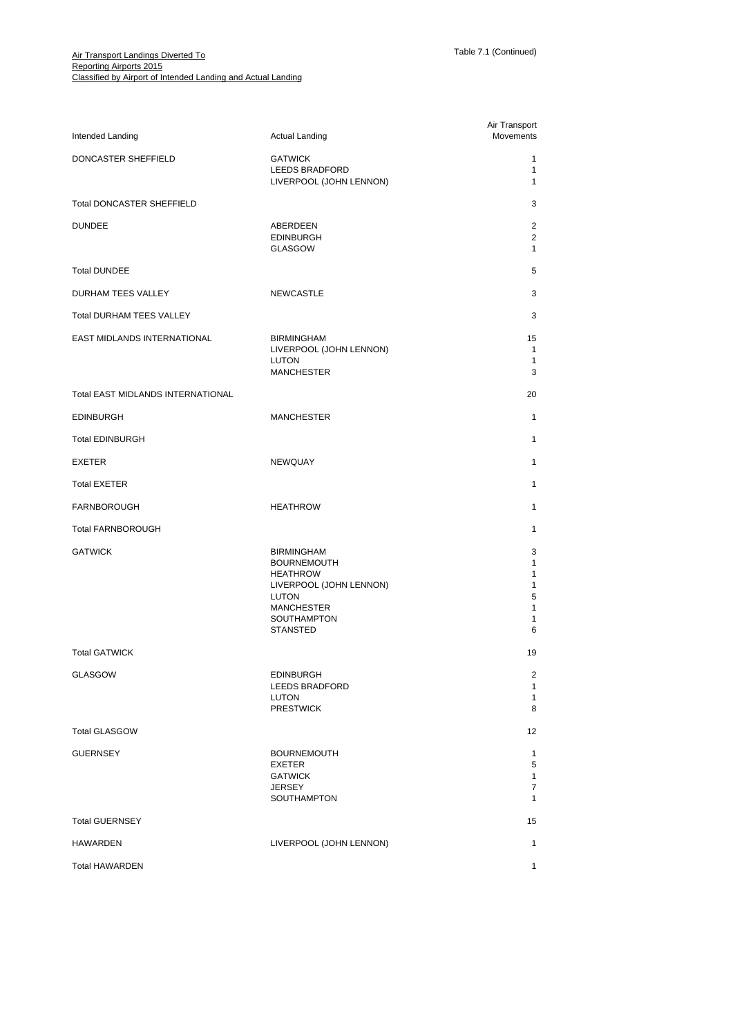| Intended Landing                         | <b>Actual Landing</b>                                                                                                                                        | Air Transport<br>Movements                   |
|------------------------------------------|--------------------------------------------------------------------------------------------------------------------------------------------------------------|----------------------------------------------|
| DONCASTER SHEFFIELD                      | <b>GATWICK</b><br><b>LEEDS BRADFORD</b><br>LIVERPOOL (JOHN LENNON)                                                                                           | $\mathbf{1}$<br>$\mathbf{1}$<br>$\mathbf{1}$ |
| <b>Total DONCASTER SHEFFIELD</b>         |                                                                                                                                                              | 3                                            |
| <b>DUNDEE</b>                            | ABERDEEN<br><b>EDINBURGH</b><br><b>GLASGOW</b>                                                                                                               | 2<br>2<br>$\mathbf{1}$                       |
| <b>Total DUNDEE</b>                      |                                                                                                                                                              | 5                                            |
| DURHAM TEES VALLEY                       | <b>NEWCASTLE</b>                                                                                                                                             | 3                                            |
| <b>Total DURHAM TEES VALLEY</b>          |                                                                                                                                                              | 3                                            |
| EAST MIDLANDS INTERNATIONAL              | <b>BIRMINGHAM</b><br>LIVERPOOL (JOHN LENNON)<br>LUTON<br><b>MANCHESTER</b>                                                                                   | 15<br>$\mathbf{1}$<br>1<br>3                 |
| <b>Total EAST MIDLANDS INTERNATIONAL</b> |                                                                                                                                                              | 20                                           |
| <b>EDINBURGH</b>                         | <b>MANCHESTER</b>                                                                                                                                            | $\mathbf{1}$                                 |
| <b>Total EDINBURGH</b>                   |                                                                                                                                                              | $\mathbf{1}$                                 |
| <b>EXETER</b>                            | <b>NEWQUAY</b>                                                                                                                                               | 1                                            |
| <b>Total EXETER</b>                      |                                                                                                                                                              | $\mathbf{1}$                                 |
| <b>FARNBOROUGH</b>                       | <b>HEATHROW</b>                                                                                                                                              | 1                                            |
| <b>Total FARNBOROUGH</b>                 |                                                                                                                                                              | 1                                            |
| <b>GATWICK</b>                           | <b>BIRMINGHAM</b><br><b>BOURNEMOUTH</b><br><b>HEATHROW</b><br>LIVERPOOL (JOHN LENNON)<br>LUTON<br><b>MANCHESTER</b><br><b>SOUTHAMPTON</b><br><b>STANSTED</b> | 3<br>1<br>1<br>1<br>5<br>1<br>1<br>6         |
| <b>Total GATWICK</b>                     |                                                                                                                                                              | 19                                           |
| GLASGOW                                  | <b>EDINBURGH</b><br><b>LEEDS BRADFORD</b><br><b>LUTON</b><br><b>PRESTWICK</b>                                                                                | $\overline{2}$<br>$\mathbf{1}$<br>1<br>8     |
| <b>Total GLASGOW</b>                     |                                                                                                                                                              | 12                                           |
| <b>GUERNSEY</b>                          | <b>BOURNEMOUTH</b><br><b>EXETER</b><br><b>GATWICK</b><br><b>JERSEY</b><br><b>SOUTHAMPTON</b>                                                                 | 1<br>5<br>$\mathbf{1}$<br>7<br>$\mathbf{1}$  |
| <b>Total GUERNSEY</b>                    |                                                                                                                                                              | 15                                           |
| HAWARDEN                                 | LIVERPOOL (JOHN LENNON)                                                                                                                                      | $\mathbf{1}$                                 |
| <b>Total HAWARDEN</b>                    |                                                                                                                                                              | $\mathbf{1}$                                 |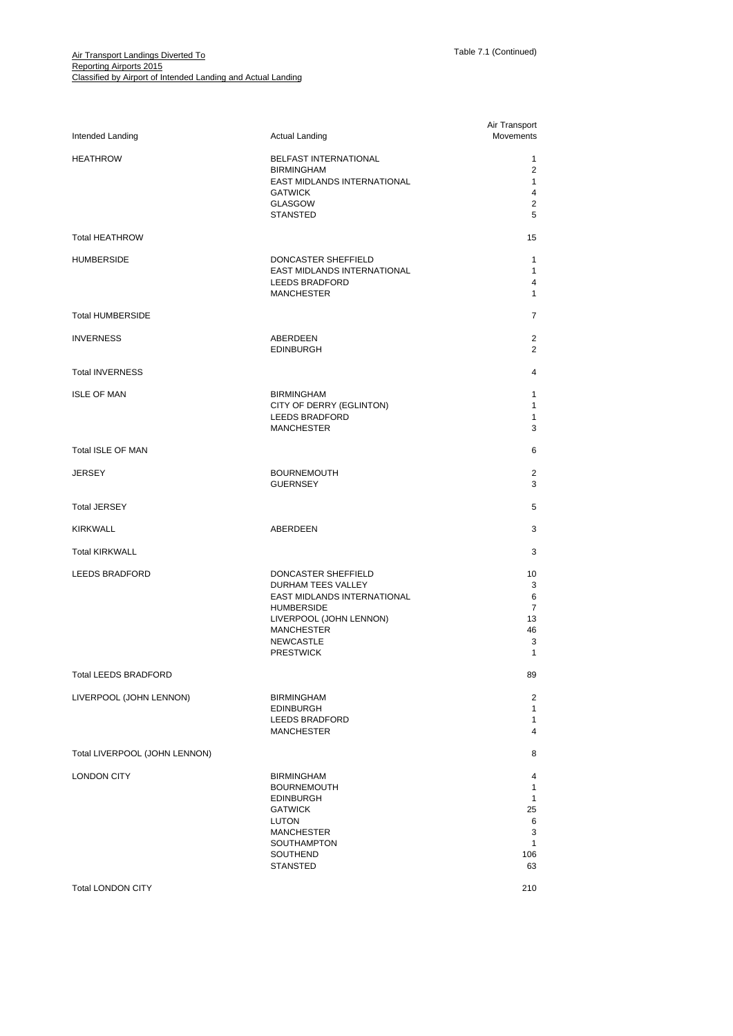| Intended Landing              | <b>Actual Landing</b>                                                                                                                                                                 | Air Transport<br>Movements                                                     |
|-------------------------------|---------------------------------------------------------------------------------------------------------------------------------------------------------------------------------------|--------------------------------------------------------------------------------|
| <b>HEATHROW</b>               | BELFAST INTERNATIONAL<br><b>BIRMINGHAM</b><br>EAST MIDLANDS INTERNATIONAL<br><b>GATWICK</b><br><b>GLASGOW</b><br><b>STANSTED</b>                                                      | $\mathbf{1}$<br>$\overline{2}$<br>$\mathbf{1}$<br>4<br>2<br>5                  |
| <b>Total HEATHROW</b>         |                                                                                                                                                                                       | 15                                                                             |
| <b>HUMBERSIDE</b>             | DONCASTER SHEFFIELD<br><b>EAST MIDLANDS INTERNATIONAL</b><br>LEEDS BRADFORD<br><b>MANCHESTER</b>                                                                                      | $\mathbf{1}$<br>$\mathbf{1}$<br>4<br>$\mathbf{1}$                              |
| <b>Total HUMBERSIDE</b>       |                                                                                                                                                                                       | 7                                                                              |
| <b>INVERNESS</b>              | ABERDEEN<br><b>EDINBURGH</b>                                                                                                                                                          | 2<br>2                                                                         |
| <b>Total INVERNESS</b>        |                                                                                                                                                                                       | 4                                                                              |
| <b>ISLE OF MAN</b>            | <b>BIRMINGHAM</b><br>CITY OF DERRY (EGLINTON)<br><b>LEEDS BRADFORD</b><br><b>MANCHESTER</b>                                                                                           | $\mathbf{1}$<br>$\mathbf{1}$<br>1<br>3                                         |
| Total ISLE OF MAN             |                                                                                                                                                                                       | 6                                                                              |
| <b>JERSEY</b>                 | <b>BOURNEMOUTH</b><br><b>GUERNSEY</b>                                                                                                                                                 | 2<br>3                                                                         |
| <b>Total JERSEY</b>           |                                                                                                                                                                                       | 5                                                                              |
| <b>KIRKWALL</b>               | ABERDEEN                                                                                                                                                                              | 3                                                                              |
| <b>Total KIRKWALL</b>         |                                                                                                                                                                                       | 3                                                                              |
| LEEDS BRADFORD                | DONCASTER SHEFFIELD<br>DURHAM TEES VALLEY<br>EAST MIDLANDS INTERNATIONAL<br><b>HUMBERSIDE</b><br>LIVERPOOL (JOHN LENNON)<br><b>MANCHESTER</b><br><b>NEWCASTLE</b><br><b>PRESTWICK</b> | 10<br>3<br>6<br>7<br>13<br>46<br>3<br>1                                        |
| <b>Total LEEDS BRADFORD</b>   |                                                                                                                                                                                       | 89                                                                             |
| LIVERPOOL (JOHN LENNON)       | <b>BIRMINGHAM</b><br><b>EDINBURGH</b><br><b>LEEDS BRADFORD</b><br><b>MANCHESTER</b>                                                                                                   | $\overline{2}$<br>$\mathbf{1}$<br>1<br>$\overline{4}$                          |
| Total LIVERPOOL (JOHN LENNON) |                                                                                                                                                                                       | 8                                                                              |
| <b>LONDON CITY</b>            | <b>BIRMINGHAM</b><br><b>BOURNEMOUTH</b><br><b>EDINBURGH</b><br><b>GATWICK</b><br>LUTON<br><b>MANCHESTER</b><br>SOUTHAMPTON<br>SOUTHEND<br><b>STANSTED</b>                             | 4<br>$\mathbf{1}$<br>$\mathbf{1}$<br>25<br>6<br>3<br>$\mathbf{1}$<br>106<br>63 |
| <b>Total LONDON CITY</b>      |                                                                                                                                                                                       | 210                                                                            |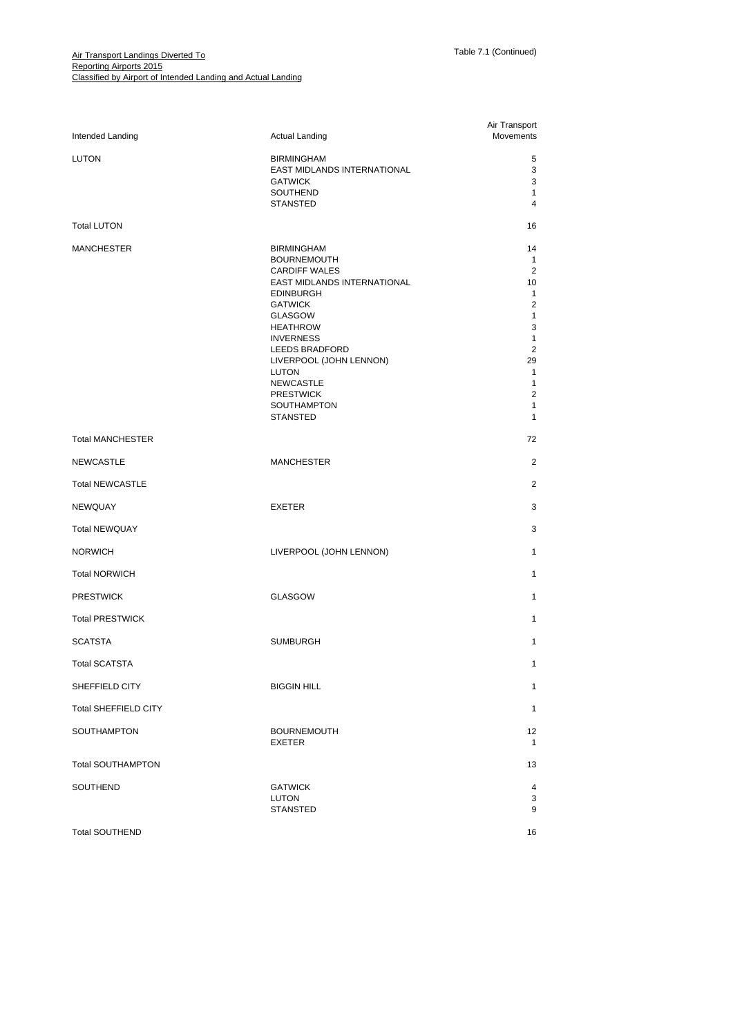| Intended Landing            | <b>Actual Landing</b>                                                                                                                                                                                                                                                                                                                | Air Transport<br>Movements                                                                                                                                                                        |
|-----------------------------|--------------------------------------------------------------------------------------------------------------------------------------------------------------------------------------------------------------------------------------------------------------------------------------------------------------------------------------|---------------------------------------------------------------------------------------------------------------------------------------------------------------------------------------------------|
| <b>LUTON</b>                | <b>BIRMINGHAM</b><br>EAST MIDLANDS INTERNATIONAL<br><b>GATWICK</b><br>SOUTHEND<br><b>STANSTED</b>                                                                                                                                                                                                                                    | 5<br>3<br>3<br>$\mathbf{1}$<br>4                                                                                                                                                                  |
| <b>Total LUTON</b>          |                                                                                                                                                                                                                                                                                                                                      | 16                                                                                                                                                                                                |
| <b>MANCHESTER</b>           | <b>BIRMINGHAM</b><br><b>BOURNEMOUTH</b><br><b>CARDIFF WALES</b><br>EAST MIDLANDS INTERNATIONAL<br><b>EDINBURGH</b><br><b>GATWICK</b><br>GLASGOW<br><b>HEATHROW</b><br><b>INVERNESS</b><br>LEEDS BRADFORD<br>LIVERPOOL (JOHN LENNON)<br><b>LUTON</b><br><b>NEWCASTLE</b><br><b>PRESTWICK</b><br><b>SOUTHAMPTON</b><br><b>STANSTED</b> | 14<br>$\mathbf{1}$<br>2<br>10<br>$\mathbf{1}$<br>$\overline{2}$<br>$\mathbf{1}$<br>3<br>$\mathbf{1}$<br>2<br>29<br>$\mathbf{1}$<br>$\mathbf{1}$<br>$\overline{2}$<br>$\mathbf{1}$<br>$\mathbf{1}$ |
| <b>Total MANCHESTER</b>     |                                                                                                                                                                                                                                                                                                                                      | 72                                                                                                                                                                                                |
| <b>NEWCASTLE</b>            | <b>MANCHESTER</b>                                                                                                                                                                                                                                                                                                                    | 2                                                                                                                                                                                                 |
| <b>Total NEWCASTLE</b>      |                                                                                                                                                                                                                                                                                                                                      | $\overline{2}$                                                                                                                                                                                    |
| <b>NEWQUAY</b>              | <b>EXETER</b>                                                                                                                                                                                                                                                                                                                        | 3                                                                                                                                                                                                 |
| <b>Total NEWQUAY</b>        |                                                                                                                                                                                                                                                                                                                                      | 3                                                                                                                                                                                                 |
| <b>NORWICH</b>              | LIVERPOOL (JOHN LENNON)                                                                                                                                                                                                                                                                                                              | $\mathbf{1}$                                                                                                                                                                                      |
| <b>Total NORWICH</b>        |                                                                                                                                                                                                                                                                                                                                      | $\mathbf{1}$                                                                                                                                                                                      |
| <b>PRESTWICK</b>            | <b>GLASGOW</b>                                                                                                                                                                                                                                                                                                                       | $\mathbf{1}$                                                                                                                                                                                      |
| <b>Total PRESTWICK</b>      |                                                                                                                                                                                                                                                                                                                                      | $\mathbf{1}$                                                                                                                                                                                      |
| <b>SCATSTA</b>              | <b>SUMBURGH</b>                                                                                                                                                                                                                                                                                                                      | $\mathbf{1}$                                                                                                                                                                                      |
| <b>Total SCATSTA</b>        |                                                                                                                                                                                                                                                                                                                                      | 1                                                                                                                                                                                                 |
| SHEFFIELD CITY              | <b>BIGGIN HILL</b>                                                                                                                                                                                                                                                                                                                   | $\mathbf{1}$                                                                                                                                                                                      |
| <b>Total SHEFFIELD CITY</b> |                                                                                                                                                                                                                                                                                                                                      | $\mathbf{1}$                                                                                                                                                                                      |
| SOUTHAMPTON                 | <b>BOURNEMOUTH</b><br>EXETER                                                                                                                                                                                                                                                                                                         | 12<br>$\mathbf{1}$                                                                                                                                                                                |
| <b>Total SOUTHAMPTON</b>    |                                                                                                                                                                                                                                                                                                                                      | 13                                                                                                                                                                                                |
| SOUTHEND                    | <b>GATWICK</b><br><b>LUTON</b><br><b>STANSTED</b>                                                                                                                                                                                                                                                                                    | 4<br>3<br>9                                                                                                                                                                                       |
| <b>Total SOUTHEND</b>       |                                                                                                                                                                                                                                                                                                                                      | 16                                                                                                                                                                                                |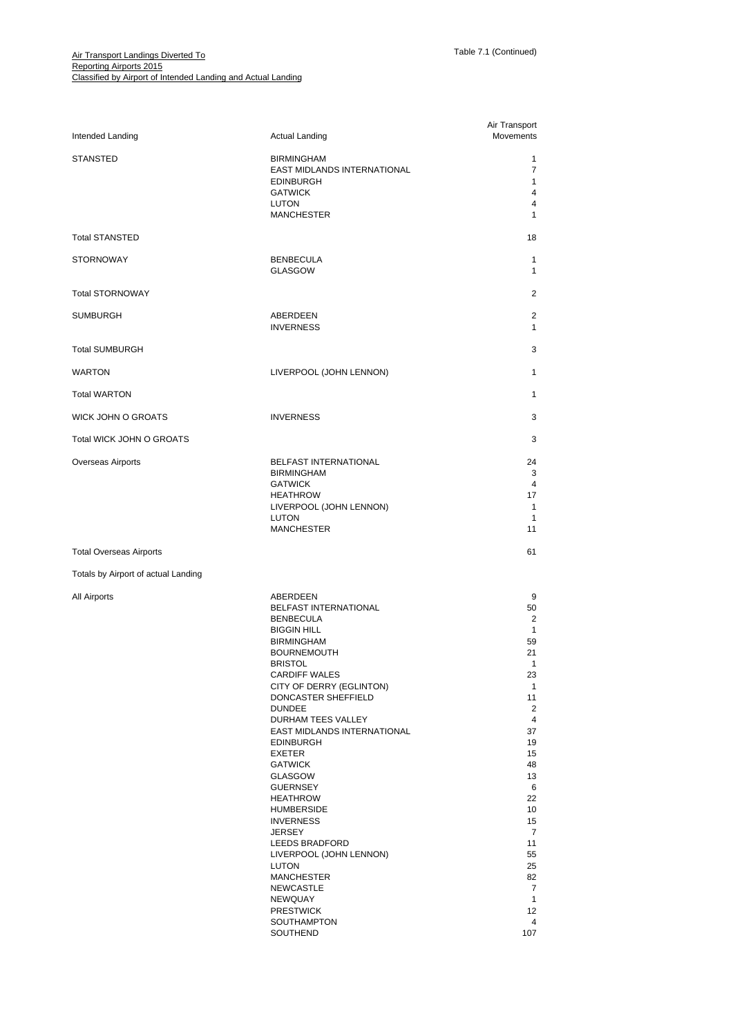| Intended Landing                    | <b>Actual Landing</b>                                                                                                                                                                                                                                                                                                                                                                                                                                                                                                                                                                                         | Air Transport<br>Movements                                                                                                                                                                                                                                     |
|-------------------------------------|---------------------------------------------------------------------------------------------------------------------------------------------------------------------------------------------------------------------------------------------------------------------------------------------------------------------------------------------------------------------------------------------------------------------------------------------------------------------------------------------------------------------------------------------------------------------------------------------------------------|----------------------------------------------------------------------------------------------------------------------------------------------------------------------------------------------------------------------------------------------------------------|
| <b>STANSTED</b>                     | <b>BIRMINGHAM</b><br>EAST MIDLANDS INTERNATIONAL<br><b>EDINBURGH</b><br><b>GATWICK</b><br><b>LUTON</b><br><b>MANCHESTER</b>                                                                                                                                                                                                                                                                                                                                                                                                                                                                                   | $\mathbf{1}$<br>7<br>$\mathbf{1}$<br>$\overline{4}$<br>4<br>$\mathbf{1}$                                                                                                                                                                                       |
| <b>Total STANSTED</b>               |                                                                                                                                                                                                                                                                                                                                                                                                                                                                                                                                                                                                               | 18                                                                                                                                                                                                                                                             |
| <b>STORNOWAY</b>                    | <b>BENBECULA</b><br><b>GLASGOW</b>                                                                                                                                                                                                                                                                                                                                                                                                                                                                                                                                                                            | $\mathbf{1}$<br>1                                                                                                                                                                                                                                              |
| <b>Total STORNOWAY</b>              |                                                                                                                                                                                                                                                                                                                                                                                                                                                                                                                                                                                                               | 2                                                                                                                                                                                                                                                              |
| <b>SUMBURGH</b>                     | ABERDEEN<br><b>INVERNESS</b>                                                                                                                                                                                                                                                                                                                                                                                                                                                                                                                                                                                  | 2<br>$\mathbf{1}$                                                                                                                                                                                                                                              |
| <b>Total SUMBURGH</b>               |                                                                                                                                                                                                                                                                                                                                                                                                                                                                                                                                                                                                               | 3                                                                                                                                                                                                                                                              |
| <b>WARTON</b>                       | LIVERPOOL (JOHN LENNON)                                                                                                                                                                                                                                                                                                                                                                                                                                                                                                                                                                                       | $\mathbf{1}$                                                                                                                                                                                                                                                   |
| <b>Total WARTON</b>                 |                                                                                                                                                                                                                                                                                                                                                                                                                                                                                                                                                                                                               | $\mathbf{1}$                                                                                                                                                                                                                                                   |
| <b>WICK JOHN O GROATS</b>           | <b>INVERNESS</b>                                                                                                                                                                                                                                                                                                                                                                                                                                                                                                                                                                                              | 3                                                                                                                                                                                                                                                              |
| Total WICK JOHN O GROATS            |                                                                                                                                                                                                                                                                                                                                                                                                                                                                                                                                                                                                               | 3                                                                                                                                                                                                                                                              |
| Overseas Airports                   | <b>BELFAST INTERNATIONAL</b><br><b>BIRMINGHAM</b><br><b>GATWICK</b><br><b>HEATHROW</b><br>LIVERPOOL (JOHN LENNON)<br>LUTON<br><b>MANCHESTER</b>                                                                                                                                                                                                                                                                                                                                                                                                                                                               | 24<br>3<br>$\overline{4}$<br>17<br>$\mathbf{1}$<br>1<br>11                                                                                                                                                                                                     |
| <b>Total Overseas Airports</b>      |                                                                                                                                                                                                                                                                                                                                                                                                                                                                                                                                                                                                               | 61                                                                                                                                                                                                                                                             |
| Totals by Airport of actual Landing |                                                                                                                                                                                                                                                                                                                                                                                                                                                                                                                                                                                                               |                                                                                                                                                                                                                                                                |
| All Airports                        | ABERDEEN<br>BELFAST INTERNATIONAL<br><b>BENBECULA</b><br><b>BIGGIN HILL</b><br><b>BIRMINGHAM</b><br><b>BOURNEMOUTH</b><br><b>BRISTOL</b><br><b>CARDIFF WALES</b><br>CITY OF DERRY (EGLINTON)<br>DONCASTER SHEFFIELD<br><b>DUNDEE</b><br>DURHAM TEES VALLEY<br>EAST MIDLANDS INTERNATIONAL<br><b>EDINBURGH</b><br>EXETER<br><b>GATWICK</b><br><b>GLASGOW</b><br><b>GUERNSEY</b><br><b>HEATHROW</b><br><b>HUMBERSIDE</b><br><b>INVERNESS</b><br><b>JERSEY</b><br>LEEDS BRADFORD<br>LIVERPOOL (JOHN LENNON)<br>LUTON<br><b>MANCHESTER</b><br>NEWCASTLE<br>NEWQUAY<br><b>PRESTWICK</b><br>SOUTHAMPTON<br>SOUTHEND | 9<br>50<br>2<br>$\mathbf{1}$<br>59<br>21<br>$\mathbf{1}$<br>23<br>$\mathbf{1}$<br>11<br>$\overline{2}$<br>4<br>37<br>19<br>15<br>48<br>13<br>6<br>22<br>10<br>15<br>$\overline{7}$<br>11<br>55<br>25<br>82<br>$\overline{7}$<br>$\mathbf{1}$<br>12<br>4<br>107 |